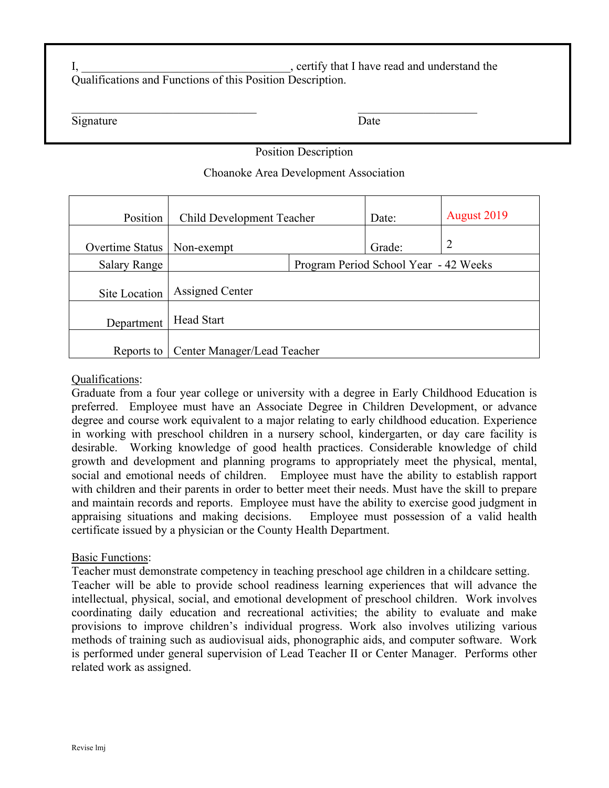I, the contract of the contract of the contract of the contract of the contract of the contract of the contract of the contract of the contract of the contract of the contract of the contract of the contract of the contrac Qualifications and Functions of this Position Description.

Signature Date

## Position Description

### Choanoke Area Development Association

| Position            | <b>Child Development Teacher</b>      |  | Date:  | August 2019    |
|---------------------|---------------------------------------|--|--------|----------------|
| Overtime Status     | Non-exempt                            |  | Grade: | $\overline{2}$ |
| <b>Salary Range</b> | Program Period School Year - 42 Weeks |  |        |                |
| Site Location       | Assigned Center                       |  |        |                |
| Department          | <b>Head Start</b>                     |  |        |                |
| Reports to          | Center Manager/Lead Teacher           |  |        |                |

### Qualifications:

Graduate from a four year college or university with a degree in Early Childhood Education is preferred. Employee must have an Associate Degree in Children Development, or advance degree and course work equivalent to a major relating to early childhood education. Experience in working with preschool children in a nursery school, kindergarten, or day care facility is desirable. Working knowledge of good health practices. Considerable knowledge of child growth and development and planning programs to appropriately meet the physical, mental, social and emotional needs of children. Employee must have the ability to establish rapport with children and their parents in order to better meet their needs. Must have the skill to prepare and maintain records and reports. Employee must have the ability to exercise good judgment in appraising situations and making decisions. Employee must possession of a valid health certificate issued by a physician or the County Health Department.

### Basic Functions:

Teacher must demonstrate competency in teaching preschool age children in a childcare setting. Teacher will be able to provide school readiness learning experiences that will advance the intellectual, physical, social, and emotional development of preschool children. Work involves coordinating daily education and recreational activities; the ability to evaluate and make provisions to improve children's individual progress. Work also involves utilizing various methods of training such as audiovisual aids, phonographic aids, and computer software. Work is performed under general supervision of Lead Teacher II or Center Manager. Performs other related work as assigned.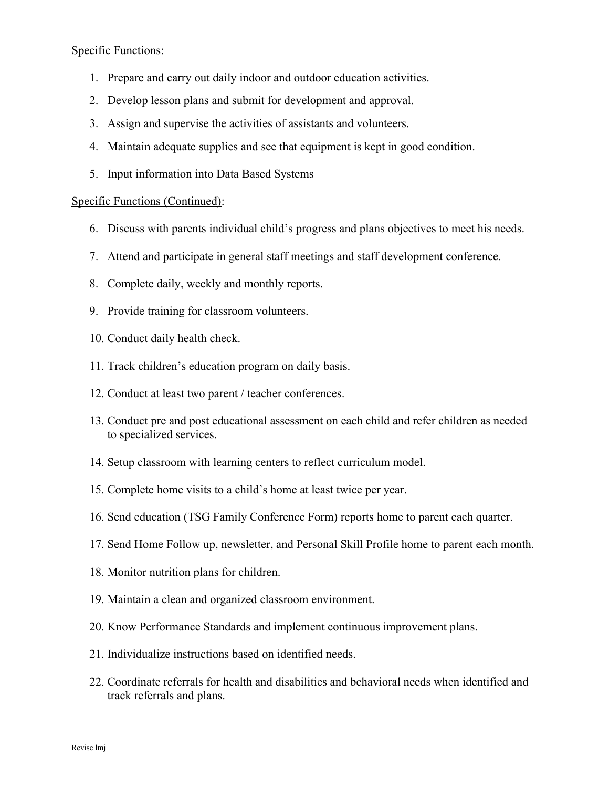### Specific Functions:

- 1. Prepare and carry out daily indoor and outdoor education activities.
- 2. Develop lesson plans and submit for development and approval.
- 3. Assign and supervise the activities of assistants and volunteers.
- 4. Maintain adequate supplies and see that equipment is kept in good condition.
- 5. Input information into Data Based Systems

#### Specific Functions (Continued):

- 6. Discuss with parents individual child's progress and plans objectives to meet his needs.
- 7. Attend and participate in general staff meetings and staff development conference.
- 8. Complete daily, weekly and monthly reports.
- 9. Provide training for classroom volunteers.
- 10. Conduct daily health check.
- 11. Track children's education program on daily basis.
- 12. Conduct at least two parent / teacher conferences.
- 13. Conduct pre and post educational assessment on each child and refer children as needed to specialized services.
- 14. Setup classroom with learning centers to reflect curriculum model.
- 15. Complete home visits to a child's home at least twice per year.
- 16. Send education (TSG Family Conference Form) reports home to parent each quarter.
- 17. Send Home Follow up, newsletter, and Personal Skill Profile home to parent each month.
- 18. Monitor nutrition plans for children.
- 19. Maintain a clean and organized classroom environment.
- 20. Know Performance Standards and implement continuous improvement plans.
- 21. Individualize instructions based on identified needs.
- 22. Coordinate referrals for health and disabilities and behavioral needs when identified and track referrals and plans.